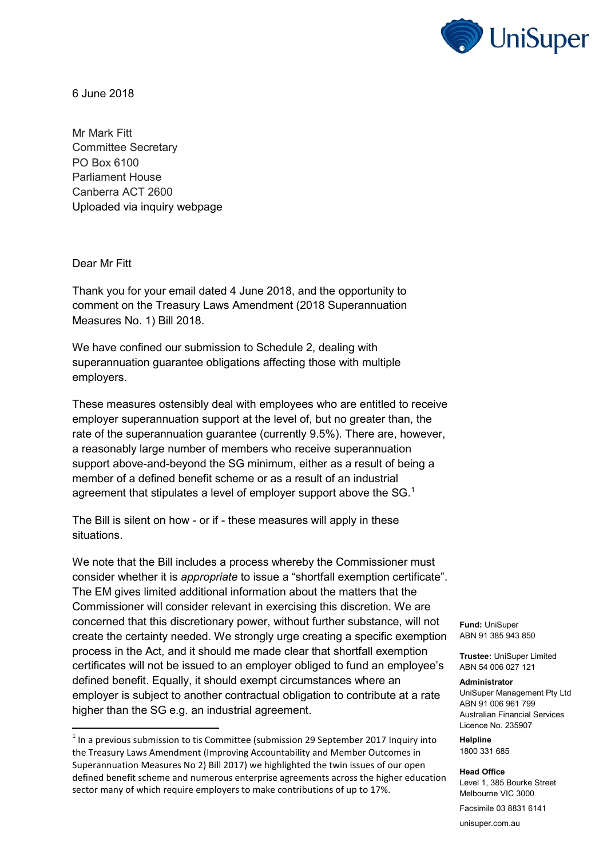

6 June 2018

Mr Mark Fitt Committee Secretary PO Box 6100 Parliament House Canberra ACT 2600 Uploaded via inquiry webpage

Dear Mr Fitt

 $\overline{a}$ 

Thank you for your email dated 4 June 2018, and the opportunity to comment on the Treasury Laws Amendment (2018 Superannuation Measures No. 1) Bill 2018.

We have confined our submission to Schedule 2, dealing with superannuation guarantee obligations affecting those with multiple employers.

These measures ostensibly deal with employees who are entitled to receive employer superannuation support at the level of, but no greater than, the rate of the superannuation guarantee (currently 9.5%). There are, however, a reasonably large number of members who receive superannuation support above-and-beyond the SG minimum, either as a result of being a member of a defined benefit scheme or as a result of an industrial agreement that stipulates a level of employer support above the  $SG<sup>1</sup>$ 

The Bill is silent on how - or if - these measures will apply in these situations.

We note that the Bill includes a process whereby the Commissioner must consider whether it is *appropriate* to issue a "shortfall exemption certificate". The EM gives limited additional information about the matters that the Commissioner will consider relevant in exercising this discretion. We are concerned that this discretionary power, without further substance, will not create the certainty needed. We strongly urge creating a specific exemption process in the Act, and it should me made clear that shortfall exemption certificates will not be issued to an employer obliged to fund an employee's defined benefit. Equally, it should exempt circumstances where an employer is subject to another contractual obligation to contribute at a rate higher than the SG e.g. an industrial agreement.

**Fund:** UniSuper ABN 91 385 943 850

**Trustee:** UniSuper Limited ABN 54 006 027 121

## **Administrator**

UniSuper Management Pty Ltd ABN 91 006 961 799 Australian Financial Services Licence No. 235907

**Helpline** 1800 331 685

## **Head Office**

Level 1, 385 Bourke Street Melbourne VIC 3000

Facsimile 03 8831 6141

unisuper.com.au

 $<sup>1</sup>$  In a previous submission to tis Committee (submission 29 September 2017 Inquiry into</sup> the Treasury Laws Amendment (Improving Accountability and Member Outcomes in Superannuation Measures No 2) Bill 2017) we highlighted the twin issues of our open defined benefit scheme and numerous enterprise agreements across the higher education sector many of which require employers to make contributions of up to 17%.